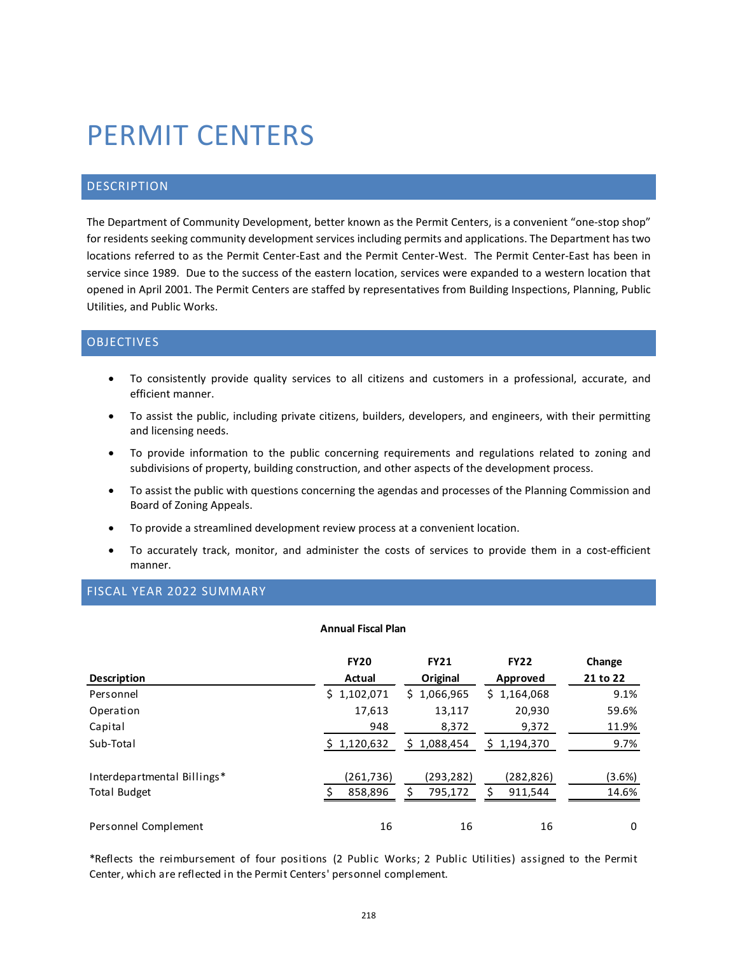# PERMIT CENTERS

# DESCRIPTION

The Department of Community Development, better known as the Permit Centers, is a convenient "one-stop shop" for residents seeking community development services including permits and applications. The Department has two locations referred to as the Permit Center-East and the Permit Center-West. The Permit Center-East has been in service since 1989. Due to the success of the eastern location, services were expanded to a western location that opened in April 2001. The Permit Centers are staffed by representatives from Building Inspections, Planning, Public Utilities, and Public Works.

## OBJECTIVES

- To consistently provide quality services to all citizens and customers in a professional, accurate, and efficient manner.
- To assist the public, including private citizens, builders, developers, and engineers, with their permitting and licensing needs.
- To provide information to the public concerning requirements and regulations related to zoning and subdivisions of property, building construction, and other aspects of the development process.
- To assist the public with questions concerning the agendas and processes of the Planning Commission and Board of Zoning Appeals.
- To provide a streamlined development review process at a convenient location.
- To accurately track, monitor, and administer the costs of services to provide them in a cost-efficient manner.

## FISCAL YEAR 2022 SUMMARY

#### **Annual Fiscal Plan**

|                             | <b>FY20</b> | <b>FY21</b> | <b>FY22</b>  | Change   |
|-----------------------------|-------------|-------------|--------------|----------|
| <b>Description</b>          | Actual      | Original    | Approved     | 21 to 22 |
| Personnel                   | \$1,102,071 | \$1,066,965 | \$1,164,068  | 9.1%     |
| Operation                   | 17,613      | 13,117      | 20,930       | 59.6%    |
| Capital                     | 948         | 8,372       | 9,372        | 11.9%    |
| Sub-Total                   | \$1,120,632 | \$1,088,454 | \$1,194,370  | 9.7%     |
| Interdepartmental Billings* | (261,736)   | (293,282)   | (282,826)    | (3.6%)   |
| <b>Total Budget</b>         | 858,896     | 795,172     | ς<br>911,544 | 14.6%    |
| Personnel Complement        | 16          | 16          | 16           | 0        |

\*Reflects the reimbursement of four positions (2 Public Works; 2 Public Utilities) assigned to the Permit Center, which are reflected in the Permit Centers' personnel complement.